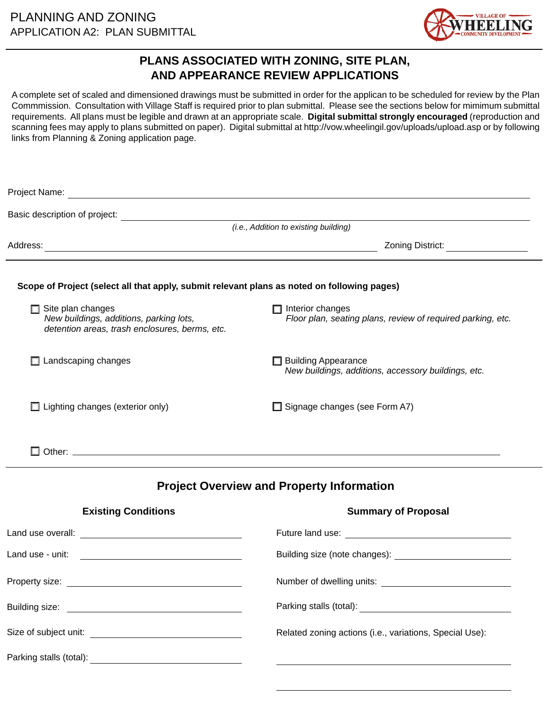

# **PLANS ASSOCIATED WITH ZONING, SITE PLAN, AND APPEARANCE REVIEW APPLICATIONS**

A complete set of scaled and dimensioned drawings must be submitted in order for the applican to be scheduled for review by the Plan Commmission. Consultation with Village Staff is required prior to plan submittal. Please see the sections below for mimimum submittal requirements. All plans must be legible and drawn at an appropriate scale. **Digital submittal strongly encouraged** (reproduction and scanning fees may apply to plans submitted on paper). Digital submittal at http://vow.wheelingil.gov/uploads/upload.asp or by following links from Planning & Zoning application page.

|                                                                                                                       | Basic description of project:<br>(i.e., Addition to existing building)                 |
|-----------------------------------------------------------------------------------------------------------------------|----------------------------------------------------------------------------------------|
|                                                                                                                       | Zoning District: __________________                                                    |
| Scope of Project (select all that apply, submit relevant plans as noted on following pages)                           |                                                                                        |
| $\Box$ Site plan changes<br>New buildings, additions, parking lots,<br>detention areas, trash enclosures, berms, etc. | $\Box$ Interior changes<br>Floor plan, seating plans, review of required parking, etc. |
| $\Box$ Landscaping changes                                                                                            | <b>Building Appearance</b><br>New buildings, additions, accessory buildings, etc.      |
| $\Box$ Lighting changes (exterior only)                                                                               | $\Box$ Signage changes (see Form A7)                                                   |
|                                                                                                                       |                                                                                        |
|                                                                                                                       | <b>Project Overview and Property Information</b>                                       |
| <b>Existing Conditions</b>                                                                                            | <b>Summary of Proposal</b>                                                             |
|                                                                                                                       |                                                                                        |
|                                                                                                                       |                                                                                        |
|                                                                                                                       |                                                                                        |
|                                                                                                                       |                                                                                        |
|                                                                                                                       | Related zoning actions (i.e., variations, Special Use):                                |
|                                                                                                                       |                                                                                        |
|                                                                                                                       |                                                                                        |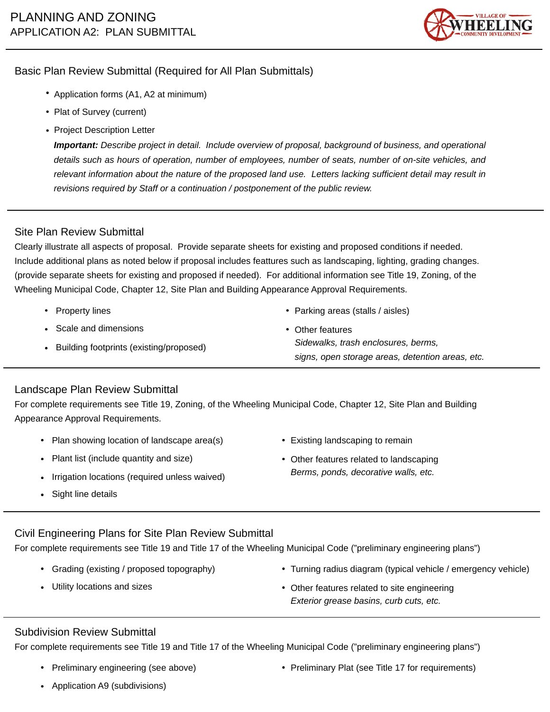

# Basic Plan Review Submittal (Required for All Plan Submittals)

- Application forms (A1, A2 at minimum)
- Plat of Survey (current)
- Project Description Letter

*Important: Describe project in detail. Include overview of proposal, background of business, and operational details such as hours of operation, number of employees, number of seats, number of on-site vehicles, and relevant information about the nature of the proposed land use. Letters lacking sufficient detail may result in revisions required by Staff or a continuation / postponement of the public review.* 

# Site Plan Review Submittal

Clearly illustrate all aspects of proposal. Provide separate sheets for existing and proposed conditions if needed. Include additional plans as noted below if proposal includes feattures such as landscaping, lighting, grading changes. (provide separate sheets for existing and proposed if needed). For additional information see Title 19, Zoning, of the Wheeling Municipal Code, Chapter 12, Site Plan and Building Appearance Approval Requirements.

- Property lines
- Scale and dimensions
- Building footprints (existing/proposed)
- Parking areas (stalls / aisles)
- Other features *Sidewalks, trash enclosures, berms, signs, open storage areas, detention areas, etc.*

## Landscape Plan Review Submittal

For complete requirements see Title 19, Zoning, of the Wheeling Municipal Code, Chapter 12, Site Plan and Building Appearance Approval Requirements.

- Plan showing location of landscape area(s)
- Plant list (include quantity and size)
- Irrigation locations (required unless waived)
- Sight line details
- Existing landscaping to remain
- Other features related to landscaping *Berms, ponds, decorative walls, etc.*

#### Civil Engineering Plans for Site Plan Review Submittal

For complete requirements see Title 19 and Title 17 of the Wheeling Municipal Code ("preliminary engineering plans")

- Grading (existing / proposed topography)
- Utility locations and sizes
- Turning radius diagram (typical vehicle / emergency vehicle)
- Other features related to site engineering *Exterior grease basins, curb cuts, etc.*

## Subdivision Review Submittal

For complete requirements see Title 19 and Title 17 of the Wheeling Municipal Code ("preliminary engineering plans")

Preliminary engineering (see above)

• Preliminary Plat (see Title 17 for requirements)

Application A9 (subdivisions)